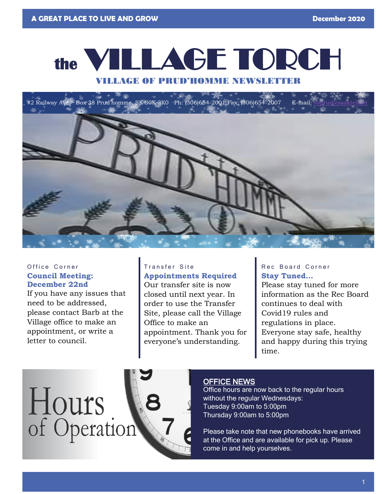# **the** VILLAGE TORCH

#### VILLAGE OF PRUD'HOMME NEWSLETTER

 $\#2$  Railway Ave Box 38 Prud'homme, SK S0K 3K0 Ph: (306)654-2001 Fax: (306)654-2007 E-mail:



#### Office Corner **Council Meeting: December 22nd**

If you have any issues that need to be addressed, please contact Barb at the Village office to make an appointment, or write a letter to council.

### Transfer Site

**Appointments Required** Our transfer site is now closed until next year. In order to use the Transfer Site, please call the Village Office to make an appointment. Thank you for everyone's understanding.

#### Rec Board Corner **Stay Tuned…**

Please stay tuned for more information as the Rec Board continues to deal with Covid19 rules and regulations in place. Everyone stay safe, healthy and happy during this trying time.

# Hours of Operation



#### OFFICE NEWS

Office hours are now back to the regular hours without the regular Wednesdays: Tuesday 9:00am to 5:00pm Thursday 9:00am to 5:00pm

Please take note that new phonebooks have arrived at the Office and are available for pick up. Please come in and help yourselves.